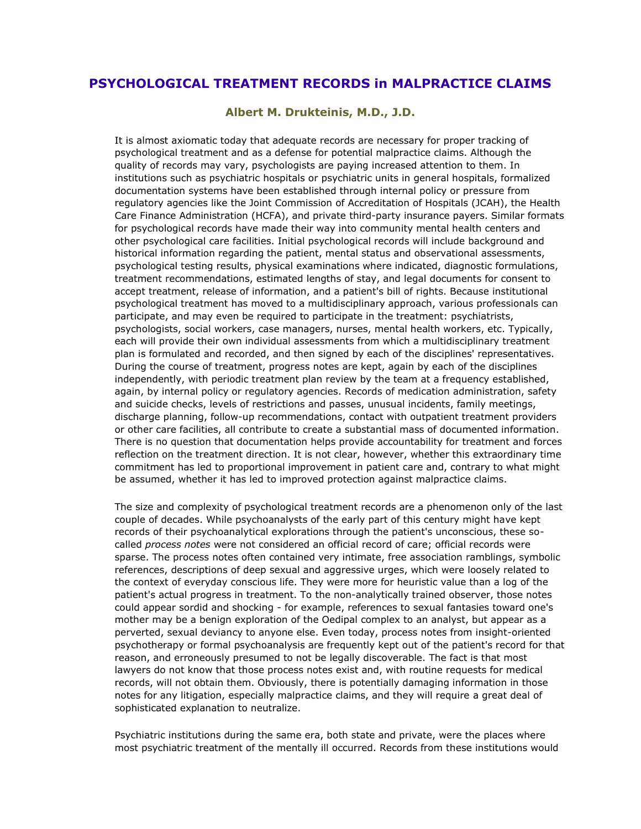## **PSYCHOLOGICAL TREATMENT RECORDS in MALPRACTICE CLAIMS**

**Albert M. Drukteinis, M.D., J.D.**

It is almost axiomatic today that adequate records are necessary for proper tracking of psychological treatment and as a defense for potential malpractice claims. Although the quality of records may vary, psychologists are paying increased attention to them. In institutions such as psychiatric hospitals or psychiatric units in general hospitals, formalized documentation systems have been established through internal policy or pressure from regulatory agencies like the Joint Commission of Accreditation of Hospitals (JCAH), the Health Care Finance Administration (HCFA), and private third-party insurance payers. Similar formats for psychological records have made their way into community mental health centers and other psychological care facilities. Initial psychological records will include background and historical information regarding the patient, mental status and observational assessments, psychological testing results, physical examinations where indicated, diagnostic formulations, treatment recommendations, estimated lengths of stay, and legal documents for consent to accept treatment, release of information, and a patient's bill of rights. Because institutional psychological treatment has moved to a multidisciplinary approach, various professionals can participate, and may even be required to participate in the treatment: psychiatrists, psychologists, social workers, case managers, nurses, mental health workers, etc. Typically, each will provide their own individual assessments from which a multidisciplinary treatment plan is formulated and recorded, and then signed by each of the disciplines' representatives. During the course of treatment, progress notes are kept, again by each of the disciplines independently, with periodic treatment plan review by the team at a frequency established, again, by internal policy or regulatory agencies. Records of medication administration, safety and suicide checks, levels of restrictions and passes, unusual incidents, family meetings, discharge planning, follow-up recommendations, contact with outpatient treatment providers or other care facilities, all contribute to create a substantial mass of documented information. There is no question that documentation helps provide accountability for treatment and forces reflection on the treatment direction. It is not clear, however, whether this extraordinary time commitment has led to proportional improvement in patient care and, contrary to what might be assumed, whether it has led to improved protection against malpractice claims.

The size and complexity of psychological treatment records are a phenomenon only of the last couple of decades. While psychoanalysts of the early part of this century might have kept records of their psychoanalytical explorations through the patient's unconscious, these socalled *process notes* were not considered an official record of care; official records were sparse. The process notes often contained very intimate, free association ramblings, symbolic references, descriptions of deep sexual and aggressive urges, which were loosely related to the context of everyday conscious life. They were more for heuristic value than a log of the patient's actual progress in treatment. To the non-analytically trained observer, those notes could appear sordid and shocking - for example, references to sexual fantasies toward one's mother may be a benign exploration of the Oedipal complex to an analyst, but appear as a perverted, sexual deviancy to anyone else. Even today, process notes from insight-oriented psychotherapy or formal psychoanalysis are frequently kept out of the patient's record for that reason, and erroneously presumed to not be legally discoverable. The fact is that most lawyers do not know that those process notes exist and, with routine requests for medical records, will not obtain them. Obviously, there is potentially damaging information in those notes for any litigation, especially malpractice claims, and they will require a great deal of sophisticated explanation to neutralize.

Psychiatric institutions during the same era, both state and private, were the places where most psychiatric treatment of the mentally ill occurred. Records from these institutions would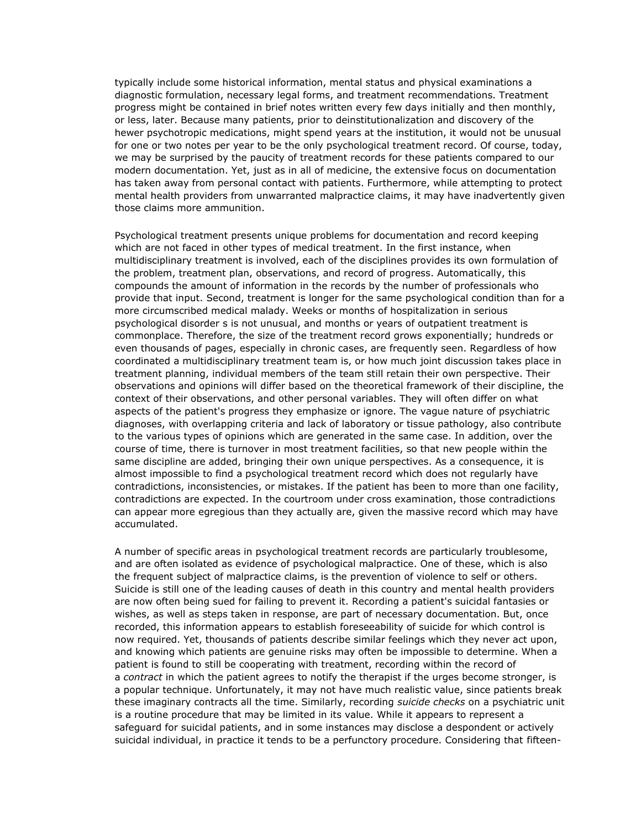typically include some historical information, mental status and physical examinations a diagnostic formulation, necessary legal forms, and treatment recommendations. Treatment progress might be contained in brief notes written every few days initially and then monthly, or less, later. Because many patients, prior to deinstitutionalization and discovery of the hewer psychotropic medications, might spend years at the institution, it would not be unusual for one or two notes per year to be the only psychological treatment record. Of course, today, we may be surprised by the paucity of treatment records for these patients compared to our modern documentation. Yet, just as in all of medicine, the extensive focus on documentation has taken away from personal contact with patients. Furthermore, while attempting to protect mental health providers from unwarranted malpractice claims, it may have inadvertently given those claims more ammunition.

Psychological treatment presents unique problems for documentation and record keeping which are not faced in other types of medical treatment. In the first instance, when multidisciplinary treatment is involved, each of the disciplines provides its own formulation of the problem, treatment plan, observations, and record of progress. Automatically, this compounds the amount of information in the records by the number of professionals who provide that input. Second, treatment is longer for the same psychological condition than for a more circumscribed medical malady. Weeks or months of hospitalization in serious psychological disorder s is not unusual, and months or years of outpatient treatment is commonplace. Therefore, the size of the treatment record grows exponentially; hundreds or even thousands of pages, especially in chronic cases, are frequently seen. Regardless of how coordinated a multidisciplinary treatment team is, or how much joint discussion takes place in treatment planning, individual members of the team still retain their own perspective. Their observations and opinions will differ based on the theoretical framework of their discipline, the context of their observations, and other personal variables. They will often differ on what aspects of the patient's progress they emphasize or ignore. The vague nature of psychiatric diagnoses, with overlapping criteria and lack of laboratory or tissue pathology, also contribute to the various types of opinions which are generated in the same case. In addition, over the course of time, there is turnover in most treatment facilities, so that new people within the same discipline are added, bringing their own unique perspectives. As a consequence, it is almost impossible to find a psychological treatment record which does not regularly have contradictions, inconsistencies, or mistakes. If the patient has been to more than one facility, contradictions are expected. In the courtroom under cross examination, those contradictions can appear more egregious than they actually are, given the massive record which may have accumulated.

A number of specific areas in psychological treatment records are particularly troublesome, and are often isolated as evidence of psychological malpractice. One of these, which is also the frequent subject of malpractice claims, is the prevention of violence to self or others. Suicide is still one of the leading causes of death in this country and mental health providers are now often being sued for failing to prevent it. Recording a patient's suicidal fantasies or wishes, as well as steps taken in response, are part of necessary documentation. But, once recorded, this information appears to establish foreseeability of suicide for which control is now required. Yet, thousands of patients describe similar feelings which they never act upon, and knowing which patients are genuine risks may often be impossible to determine. When a patient is found to still be cooperating with treatment, recording within the record of a *contract* in which the patient agrees to notify the therapist if the urges become stronger, is a popular technique. Unfortunately, it may not have much realistic value, since patients break these imaginary contracts all the time. Similarly, recording *suicide checks* on a psychiatric unit is a routine procedure that may be limited in its value. While it appears to represent a safeguard for suicidal patients, and in some instances may disclose a despondent or actively suicidal individual, in practice it tends to be a perfunctory procedure. Considering that fifteen-